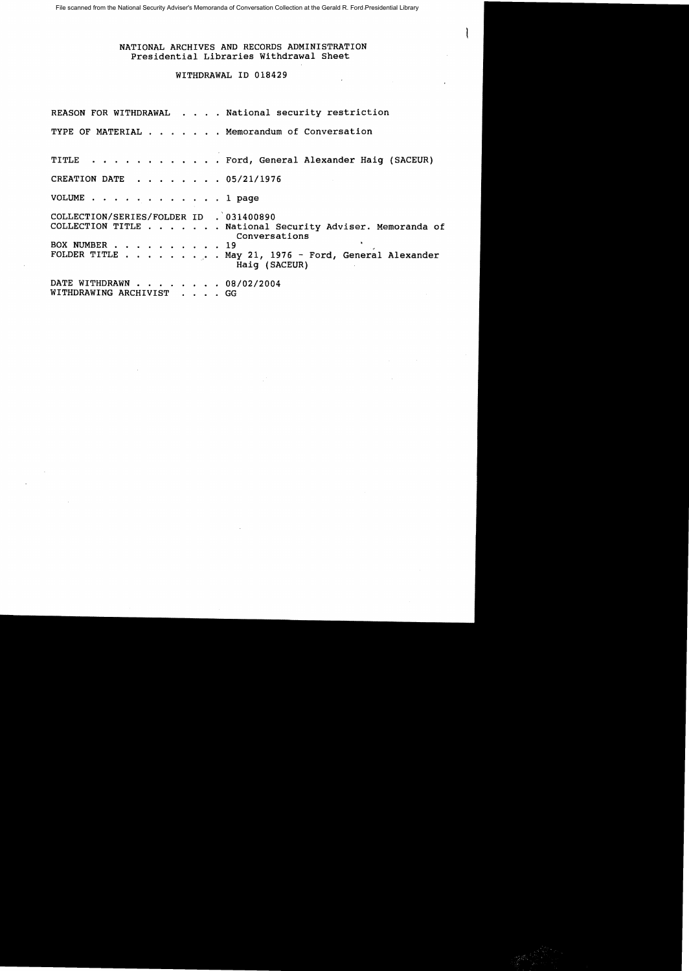## NATIONAL ARCHIVES AND RECORDS ADMINISTRATION Presidential Libraries Withdrawal Sheet

## WITHDRAWAL ID 018429

REASON FOR WITHDRAWAL . . . . National security restriction TYPE OF MATERIAL . . . . . . Memorandum of Conversation TITLE . . . . Ford, General Alexander Haig (SACEUR) CREATION DATE  $\cdot \cdot \cdot \cdot \cdot \cdot 05/21/1976$ VOLUME . . . . . . . . . . . . 1 page COLLECTION/SERIES/FOLDER ID . 031400890<br>COLLECTION TITLE . . . . . . National . National Security Adviser. Memoranda of Conversations<br>19 BOX NUMBER . .<br>FOLDER TITLE .  $\ldots$  . May 21, 1976 - Ford, General Alexander Haig (SACEUR) DATE WITHDRAWN . . . . . . . 08/02/2004 WITHDRAWING ARCHIVIST . . . . GG